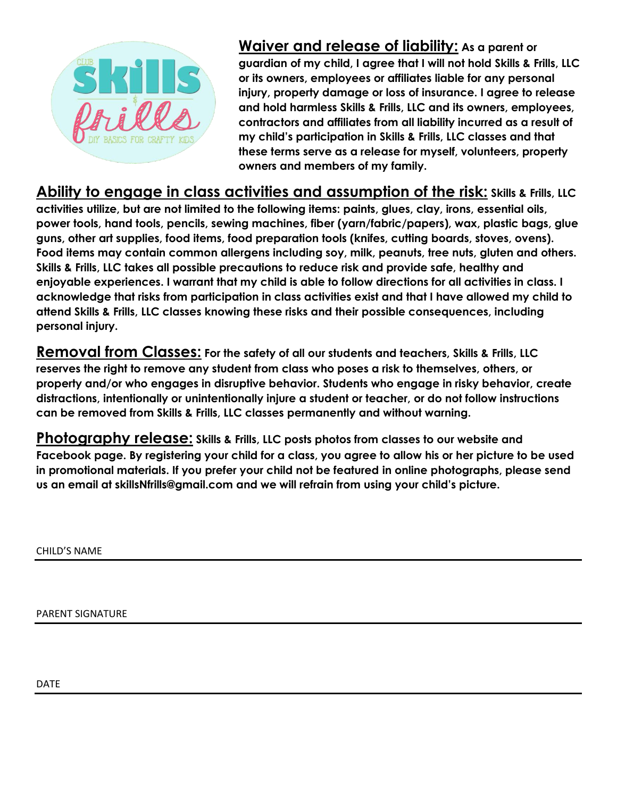

**Waiver and release of liability: As a parent or guardian of my child, I agree that I will not hold Skills & Frills, LLC or its owners, employees or affiliates liable for any personal injury, property damage or loss of insurance. I agree to release and hold harmless Skills & Frills, LLC and its owners, employees, contractors and affiliates from all liability incurred as a result of my child's participation in Skills & Frills, LLC classes and that these terms serve as a release for myself, volunteers, property owners and members of my family.**

**Ability to engage in class activities and assumption of the risk: Skills & Frills, LLC** 

**activities utilize, but are not limited to the following items: paints, glues, clay, irons, essential oils, power tools, hand tools, pencils, sewing machines, fiber (yarn/fabric/papers), wax, plastic bags, glue guns, other art supplies, food items, food preparation tools (knifes, cutting boards, stoves, ovens). Food items may contain common allergens including soy, milk, peanuts, tree nuts, gluten and others. Skills & Frills, LLC takes all possible precautions to reduce risk and provide safe, healthy and enjoyable experiences. I warrant that my child is able to follow directions for all activities in class. I acknowledge that risks from participation in class activities exist and that I have allowed my child to attend Skills & Frills, LLC classes knowing these risks and their possible consequences, including personal injury.**

**Removal from Classes: For the safety of all our students and teachers, Skills & Frills, LLC reserves the right to remove any student from class who poses a risk to themselves, others, or property and/or who engages in disruptive behavior. Students who engage in risky behavior, create distractions, intentionally or unintentionally injure a student or teacher, or do not follow instructions can be removed from Skills & Frills, LLC classes permanently and without warning.**

**Photography release: Skills & Frills, LLC posts photos from classes to our website and Facebook page. By registering your child for a class, you agree to allow his or her picture to be used in promotional materials. If you prefer your child not be featured in online photographs, please send us an email at skillsNfrills@gmail.com and we will refrain from using your child's picture.**

CHILD'S NAME

PARENT SIGNATURE

DATE